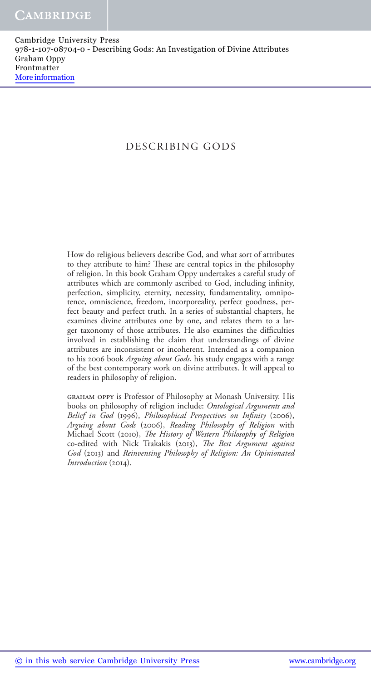### DESCRIBING GODS

 How do religious believers describe God, and what sort of attributes to they attribute to him? These are central topics in the philosophy of religion. In this book Graham Oppy undertakes a careful study of attributes which are commonly ascribed to God, including infinity, perfection, simplicity, eternity, necessity, fundamentality, omnipotence, omniscience, freedom, incorporeality, perfect goodness, perfect beauty and perfect truth. In a series of substantial chapters, he examines divine attributes one by one, and relates them to a larger taxonomy of those attributes. He also examines the difficulties involved in establishing the claim that understandings of divine attributes are inconsistent or incoherent. Intended as a companion to his 2006 book *Arguing about Gods* , his study engages with a range of the best contemporary work on divine attributes. It will appeal to readers in philosophy of religion.

 graham oppy is Professor of Philosophy at Monash University. His books on philosophy of religion include: *Ontological Arguments and Belief in God* (1996), *Philosophical Perspectives on Infinity* (2006), *Arguing about Gods* (2006), *Reading Philosophy of Religion* with Michael Scott (2010), *The History of Western Philosophy of Religion* co-edited with Nick Trakakis (2013), *Th e Best Argument against God* (2013) and *Reinventing Philosophy of Religion: An Opinionated Introduction* (2014).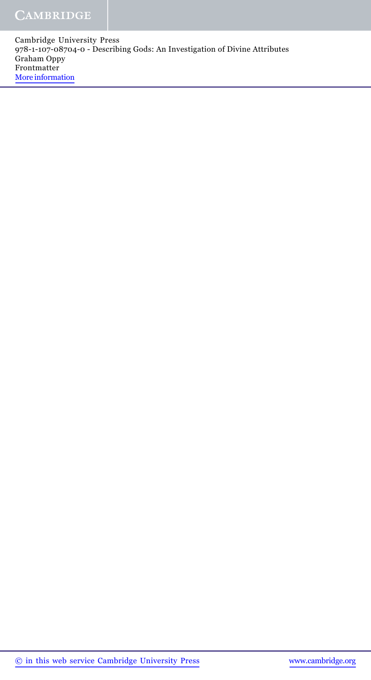Cambridge University Press 978-1-107-08704-0 - Describing Gods: An Investigation of Divine Attributes Graham Oppy Frontmatter More information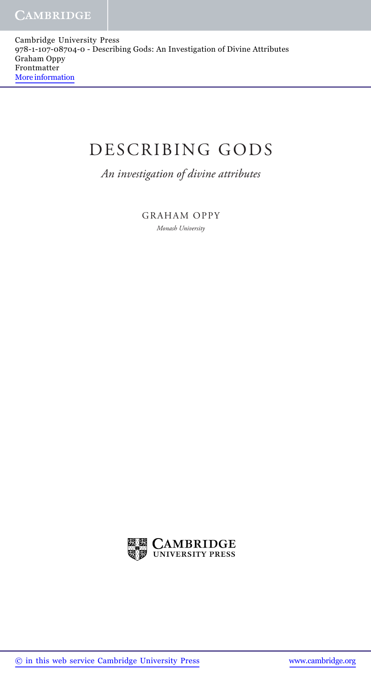## DESCRIBING GODS

 *An investigation of divine attributes* 

 GRAHAM OPPY  *Monash University* 

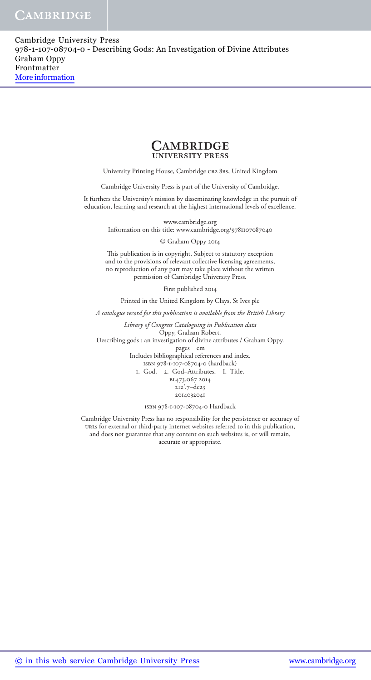# **CAMBRIDGE**<br>UNIVERSITY PRESS

University Printing House, Cambridge CB2 8BS, United Kingdom

Cambridge University Press is part of the University of Cambridge.

 It furthers the University's mission by disseminating knowledge in the pursuit of education, learning and research at the highest international levels of excellence.

www.cambridge.org

Information on this title: www.cambridge.org/9781107087040

© Graham Oppy 2014

This publication is in copyright. Subject to statutory exception and to the provisions of relevant collective licensing agreements, no reproduction of any part may take place without the written permission of Cambridge University Press.

First published 2014

Printed in the United Kingdom by Clays, St Ives plc

*A catalogue record for this publication is available from the British Library*

*Library of Congress Cataloguing in Publication data* Oppy, Graham Robert. Describing gods : an investigation of divine attributes / Graham Oppy. pages cm Includes bibliographical references and index. ISBN 978-1-107-08704-0 (hardback)<br>God. 2. God-Attributes. I. Title. 1. God. 2. God-Attributes. BL473.067 2014 212′.7–dc23 2014032041

isbn 978-1-107-08704-0 Hardback

 Cambridge University Press has no responsibility for the persistence or accuracy of urls for external or third-party internet websites referred to in this publication, and does not guarantee that any content on such websites is, or will remain, accurate or appropriate.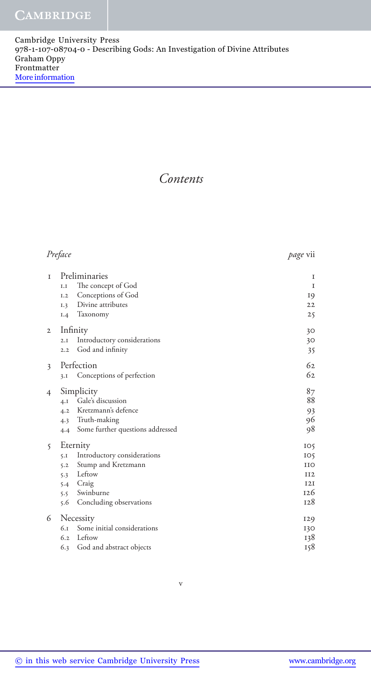*Contents* 

### *Preface page* vii

| $\mathbf{I}$ | Preliminaries<br>The concept of God<br>I.I | 1<br>$\mathbf I$ |
|--------------|--------------------------------------------|------------------|
|              | Conceptions of God<br>I.2                  | 19               |
|              | Divine attributes<br>I.3                   | 22               |
|              | Taxonomy<br>I.4                            | 25               |
| $\mathbf{2}$ | Infinity                                   | 30               |
|              | Introductory considerations<br>2.I         | 30               |
|              | God and infinity<br>2.2                    | 35               |
| 3            | Perfection                                 | 62               |
|              | Conceptions of perfection<br>3.1           | 62               |
| 4            | Simplicity                                 | 87               |
|              | 4.1 Gale's discussion                      | 88               |
|              | 4.2 Kretzmann's defence                    | 93               |
|              | 4.3 Truth-making                           | 96               |
|              | 4.4 Some further questions addressed       | 98               |
| $\mathsf{S}$ | Eternity                                   | IO <sub>5</sub>  |
|              | Introductory considerations<br>5.1         | IO <sub>5</sub>  |
|              | Stump and Kretzmann<br>5.2                 | <b>IIO</b>       |
|              | Leftow<br>5.3                              | II2              |
|              | 5.4 Craig                                  | 12I              |
|              | 5.5 Swinburne                              | 126              |
|              | Concluding observations<br>5.6             | 128              |
| 6            | Necessity                                  | 129              |
|              | Some initial considerations<br>6.1         | 130              |
|              | Leftow<br>6.2                              | 138              |

6.3 God and abstract objects 158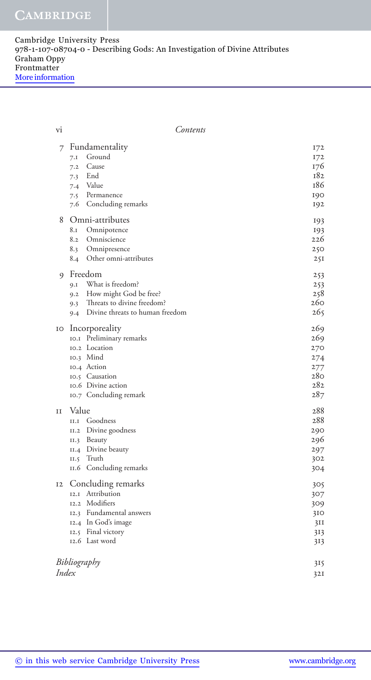| vi             | Contents                                                                                                                                                     |                                                                  |
|----------------|--------------------------------------------------------------------------------------------------------------------------------------------------------------|------------------------------------------------------------------|
|                | 7 Fundamentality<br>Ground<br>7.1<br>Cause<br>7.2<br>End<br>7.3<br>7.4 Value<br>7.5 Permanence<br>7.6 Concluding remarks                                     | I72<br>172<br>176<br>182<br>186<br>190<br>192                    |
| 8              | Omni-attributes<br>8.1<br>Omnipotence<br>8.2<br>Omniscience<br>8.3<br>Omnipresence<br>8.4 Other omni-attributes                                              | 193<br>193<br>226<br>250<br>25I                                  |
|                | 9 Freedom<br>What is freedom?<br>9.1<br>How might God be free?<br>9.2<br>Threats to divine freedom?<br>9.3<br>9.4 Divine threats to human freedom            | 253<br>253<br>258<br>260<br>265                                  |
|                | 10 Incorporeality<br>10.1 Preliminary remarks<br>10.2 Location<br>10.3 Mind<br>10.4 Action<br>10.5 Causation<br>10.6 Divine action<br>10.7 Concluding remark | 269<br>269<br>270<br>274<br>277<br>28 <sub>O</sub><br>282<br>287 |
| $_{II}$        | Value<br>II.I Goodness<br>II.2 Divine goodness<br>11.3 Beauty<br>II.4 Divine beauty<br>II.5 Truth<br>11.6 Concluding remarks                                 | 288<br>288<br>290<br>296<br>297<br>302<br>304                    |
| I <sub>2</sub> | Concluding remarks<br>12.1 Attribution<br>12.2 Modifiers<br>12.3 Fundamental answers<br>12.4 In God's image<br>Final victory<br>12.5<br>12.6 Last word       | 305<br>307<br>309<br>310<br>3II<br>313<br>313                    |
|                | Bibliography<br>Index                                                                                                                                        | 315<br>32I                                                       |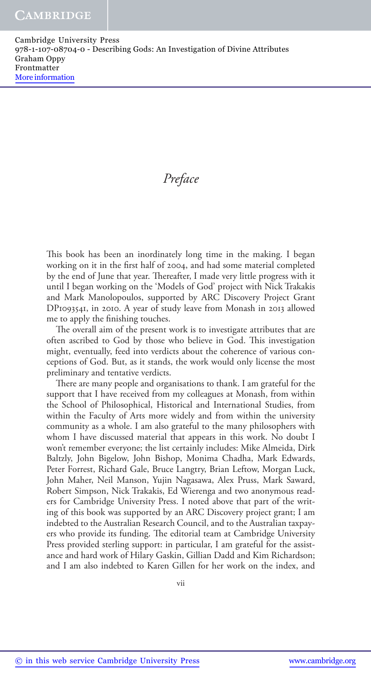## *Preface*

This book has been an inordinately long time in the making. I began working on it in the first half of 2004, and had some material completed by the end of June that year. Thereafter, I made very little progress with it until I began working on the 'Models of God' project with Nick Trakakis and Mark Manolopoulos, supported by ARC Discovery Project Grant DP1093541, in 2010. A year of study leave from Monash in 2013 allowed me to apply the finishing touches.

The overall aim of the present work is to investigate attributes that are often ascribed to God by those who believe in God. This investigation might, eventually, feed into verdicts about the coherence of various conceptions of God. But, as it stands, the work would only license the most preliminary and tentative verdicts.

There are many people and organisations to thank. I am grateful for the support that I have received from my colleagues at Monash, from within the School of Philosophical, Historical and International Studies, from within the Faculty of Arts more widely and from within the university community as a whole. I am also grateful to the many philosophers with whom I have discussed material that appears in this work. No doubt I won't remember everyone; the list certainly includes: Mike Almeida, Dirk Baltzly, John Bigelow, John Bishop, Monima Chadha, Mark Edwards, Peter Forrest, Richard Gale, Bruce Langtry, Brian Leftow, Morgan Luck, John Maher, Neil Manson, Yujin Nagasawa, Alex Pruss, Mark Saward, Robert Simpson, Nick Trakakis, Ed Wierenga and two anonymous readers for Cambridge University Press. I noted above that part of the writing of this book was supported by an ARC Discovery project grant; I am indebted to the Australian Research Council, and to the Australian taxpayers who provide its funding. The editorial team at Cambridge University Press provided sterling support: in particular, I am grateful for the assistance and hard work of Hilary Gaskin, Gillian Dadd and Kim Richardson; and I am also indebted to Karen Gillen for her work on the index, and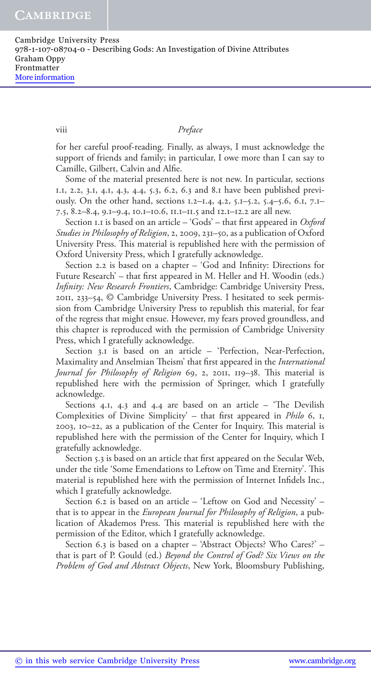viii *Preface*

for her careful proof-reading. Finally, as always, I must acknowledge the support of friends and family; in particular, I owe more than I can say to Camille, Gilbert, Calvin and Alfie.

 Some of the material presented here is not new. In particular, sections 1.1 , 2.2 , 3.1 , 4.1 , 4.3 , 4.4 , 5.3 , 6.2 , 6.3 and 8.1 have been published previously. On the other hand, sections  $1.2 - 1.4$ ,  $4.2$ ,  $5.1 - 5.2$ ,  $5.4 - 5.6$ ,  $6.1$ ,  $7.1 -$ 7.5, 8.2-8.4, 9.1-9.4, 10.1-10.6, 11.1-11.5 and 12.1-12.2 are all new.

Section 1.1 is based on an article – 'Gods' – that first appeared in *Oxford Studies in Philosophy of Religion*, 2, 2009, 231–50, as a publication of Oxford University Press. This material is republished here with the permission of Oxford University Press, which I gratefully acknowledge.

Section 2.2 is based on a chapter – 'God and Infinity: Directions for Future Research' – that first appeared in M. Heller and H. Woodin (eds.) *Infinity: New Research Frontiers*, Cambridge: Cambridge University Press, 2011, 233–54, © Cambridge University Press. I hesitated to seek permission from Cambridge University Press to republish this material, for fear of the regress that might ensue. However, my fears proved groundless, and this chapter is reproduced with the permission of Cambridge University Press, which I gratefully acknowledge.

Section 3.1 is based on an article – 'Perfection, Near-Perfection, Maximality and Anselmian Theism' that first appeared in the *International Journal for Philosophy of Religion* 69, 2, 2011, 119-38. This material is republished here with the permission of Springer, which I gratefully acknowledge.

Sections 4.1, 4.3 and 4.4 are based on an article – 'The Devilish Complexities of Divine Simplicity' - that first appeared in *Philo* 6, 1, 2003, 10–22, as a publication of the Center for Inquiry. This material is republished here with the permission of the Center for Inquiry, which I gratefully acknowledge.

Section 5.3 is based on an article that first appeared on the Secular Web, under the title 'Some Emendations to Leftow on Time and Eternity'. This material is republished here with the permission of Internet Infidels Inc., which I gratefully acknowledge.

 Section 6.2 is based on an article – 'Leftow on God and Necessity' – that is to appear in the *European Journal for Philosophy of Religion* , a publication of Akademos Press. This material is republished here with the permission of the Editor, which I gratefully acknowledge.

 Section 6.3 is based on a chapter – 'Abstract Objects? Who Cares?' – that is part of P. Gould (ed.) *Beyond the Control of God? Six Views on the Problem of God and Abstract Objects* , New York, Bloomsbury Publishing,